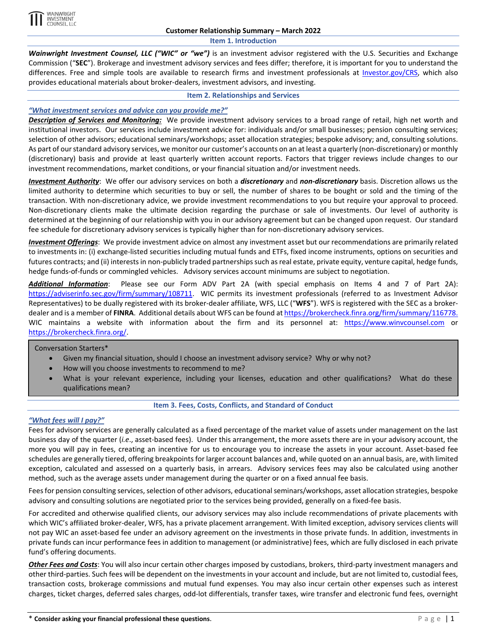

**Item 1. Introduction**

*Wainwright Investment Counsel, LLC ("WIC" or "we")* is an investment advisor registered with the U.S. Securities and Exchange Commission ("**SEC**"). Brokerage and investment advisory services and fees differ; therefore, it is important for you to understand the differences. Free and simple tools are available to research firms and investment professionals at [Investor.gov/CRS,](https://www.investor.gov/CRS) which also provides educational materials about broker-dealers, investment advisors, and investing.

#### **Item 2. Relationships and Services**

## *"What investment services and advice can you provide me?"*

*Description of Services and Monitoring:* We provide investment advisory services to a broad range of retail, high net worth and institutional investors. Our services include investment advice for: individuals and/or small businesses; pension consulting services; selection of other advisors; educational seminars/workshops; asset allocation strategies; bespoke advisory; and, consulting solutions. As part of our standard advisory services, we monitor our customer's accounts on an at least a quarterly (non-discretionary) or monthly (discretionary) basis and provide at least quarterly written account reports. Factors that trigger reviews include changes to our investment recommendations, market conditions, or your financial situation and/or investment needs.

*Investment Authority*: We offer our advisory services on both a *discretionary* and *non-discretionary* basis. Discretion allows us the limited authority to determine which securities to buy or sell, the number of shares to be bought or sold and the timing of the transaction. With non-discretionary advice, we provide investment recommendations to you but require your approval to proceed. Non-discretionary clients make the ultimate decision regarding the purchase or sale of investments. Our level of authority is determined at the beginning of our relationship with you in our advisory agreement but can be changed upon request. Our standard fee schedule for discretionary advisory services is typically higher than for non-discretionary advisory services.

*Investment Offerings*: We provide investment advice on almost any investment asset but our recommendations are primarily related to investments in: (i) exchange-listed securities including mutual funds and ETFs, fixed income instruments, options on securities and futures contracts; and (ii) interests in non-publicly traded partnerships such as real estate, private equity, venture capital, hedge funds, hedge funds-of-funds or commingled vehicles. Advisory services account minimums are subject to negotiation.

*Additional Information*: Please see our Form ADV Part 2A (with special emphasis on Items 4 and 7 of Part 2A): [https://adviserinfo.sec.gov/firm/summary/108711.](https://adviserinfo.sec.gov/firm/summary/108711) WIC permits its investment professionals (referred to as Investment Advisor Representatives) to be dually registered with its broker-dealer affiliate, WFS, LLC ("**WFS**"). WFS is registered with the SEC as a brokerdealer and is a member of FINRA. Additional details about WFS can be found at https://brokercheck.finra.org/firm/summary/116778. WIC maintains a website with information about the firm and its personnel at: [https://www.winvcounsel.com](https://www.winvcounsel.com/) or [https://brokercheck.finra.org/.](https://brokercheck.finra.org/)

Conversation Starters\*

- Given my financial situation, should I choose an investment advisory service? Why or why not?
- How will you choose investments to recommend to me?
- What is your relevant experience, including your licenses, education and other qualifications? What do these qualifications mean?

### **Item 3. Fees, Costs, Conflicts, and Standard of Conduct**

### *"What fees will I pay?"*

Fees for advisory services are generally calculated as a fixed percentage of the market value of assets under management on the last business day of the quarter (*i.e*., asset-based fees). Under this arrangement, the more assets there are in your advisory account, the more you will pay in fees, creating an incentive for us to encourage you to increase the assets in your account. Asset-based fee schedules are generally tiered, offering breakpoints for larger account balances and, while quoted on an annual basis, are, with limited exception, calculated and assessed on a quarterly basis, in arrears. Advisory services fees may also be calculated using another method, such as the average assets under management during the quarter or on a fixed annual fee basis.

Fees for pension consulting services, selection of other advisors, educational seminars/workshops, asset allocation strategies, bespoke advisory and consulting solutions are negotiated prior to the services being provided, generally on a fixed-fee basis.

For accredited and otherwise qualified clients, our advisory services may also include recommendations of private placements with which WIC's affiliated broker-dealer, WFS, has a private placement arrangement. With limited exception, advisory services clients will not pay WIC an asset-based fee under an advisory agreement on the investments in those private funds. In addition, investments in private funds can incur performance fees in addition to management (or administrative) fees, which are fully disclosed in each private fund's offering documents.

*Other Fees and Costs*: You will also incur certain other charges imposed by custodians, brokers, third-party investment managers and other third-parties. Such fees will be dependent on the investments in your account and include, but are not limited to, custodial fees, transaction costs, brokerage commissions and mutual fund expenses. You may also incur certain other expenses such as interest charges, ticket charges, deferred sales charges, odd-lot differentials, transfer taxes, wire transfer and electronic fund fees, overnight